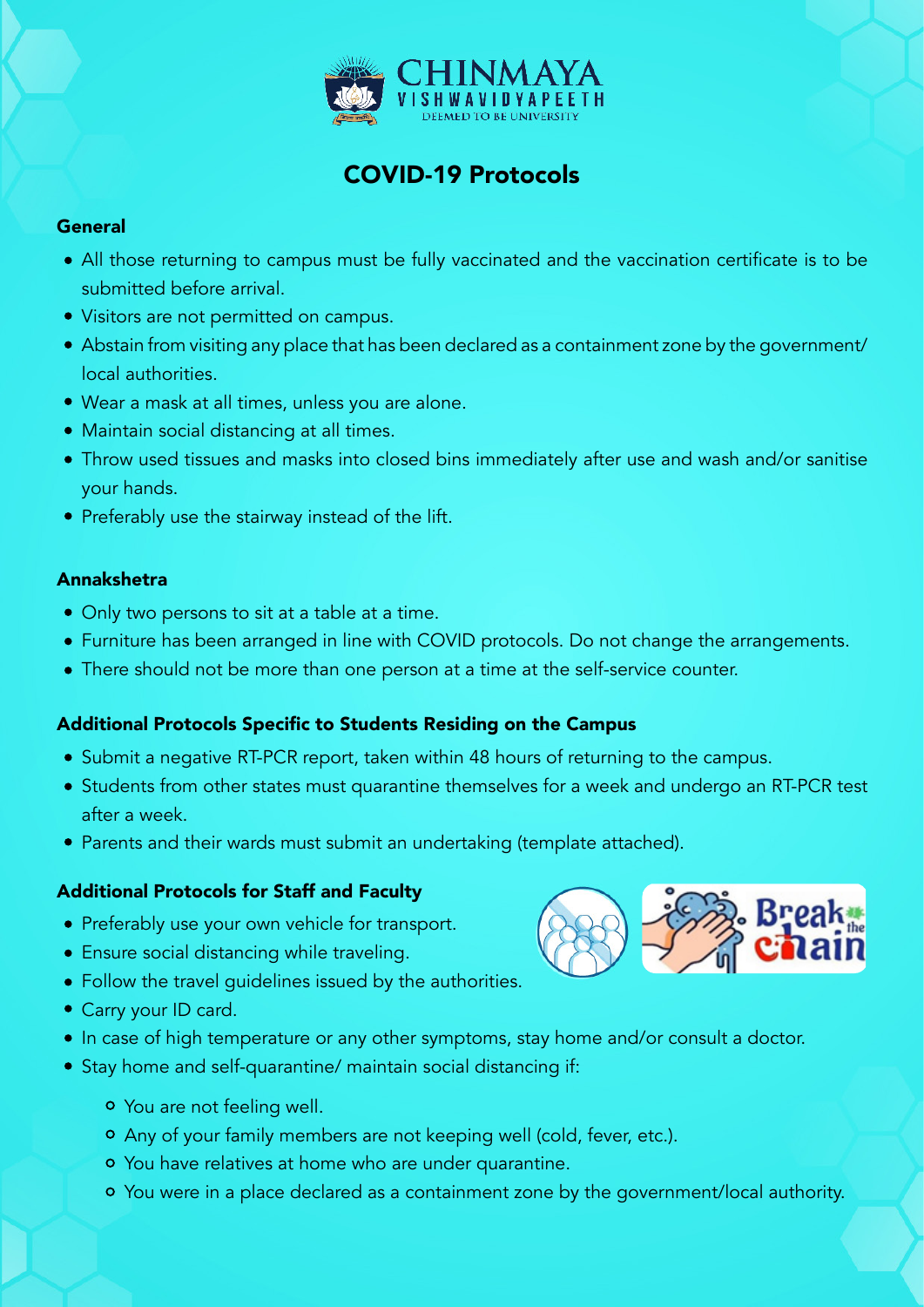

# COVID-19 Protocols

#### **General**

- All those returning to campus must be fully vaccinated and the vaccination certificate is to be submitted before arrival.
- Visitors are not permitted on campus.
- Abstain from visiting any place that has been declared as a containment zone by the government/ local authorities.
- Wear a mask at all times, unless you are alone.
- Maintain social distancing at all times.
- Throw used tissues and masks into closed bins immediately after use and wash and/or sanitise your hands.
- Preferably use the stairway instead of the lift.

#### Annakshetra

- Only two persons to sit at a table at a time.
- Furniture has been arranged in line with COVID protocols. Do not change the arrangements.
- There should not be more than one person at a time at the self-service counter.

### Additional Protocols Specific to Students Residing on the Campus

- Submit a negative RT-PCR report, taken within 48 hours of returning to the campus.
- Students from other states must quarantine themselves for a week and undergo an RT-PCR test after a week.
- Parents and their wards must submit an undertaking (template attached).

### Additional Protocols for Staff and Faculty

- Preferably use your own vehicle for transport.
- Ensure social distancing while traveling.
- Follow the travel guidelines issued by the authorities.
- Carry your ID card.
- In case of high temperature or any other symptoms, stay home and/or consult a doctor.
- Stay home and self-quarantine/ maintain social distancing if:
	- You are not feeling well.
	- Any of your family members are not keeping well (cold, fever, etc.).
	- You have relatives at home who are under quarantine.
	- You were in a place declared as a containment zone by the government/local authority.